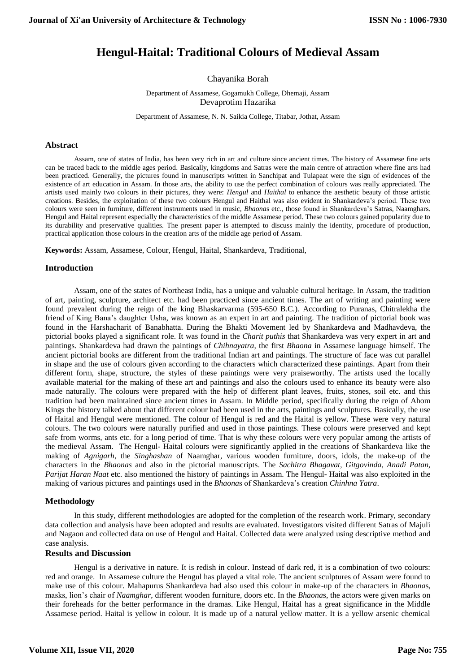# **Hengul-Haital: Traditional Colours of Medieval Assam**

Chayanika Borah

Department of Assamese, Gogamukh College, Dhemaji, Assam Devaprotim Hazarika

Department of Assamese, N. N. Saikia College, Titabar, Jothat, Assam

#### **Abstract**

Assam, one of states of India, has been very rich in art and culture since ancient times. The history of Assamese fine arts can be traced back to the middle ages period. Basically, kingdoms and Satras were the main centre of attraction where fine arts had been practiced. Generally, the pictures found in manuscripts written in Sanchipat and Tulapaat were the sign of evidences of the existence of art education in Assam. In those arts, the ability to use the perfect combination of colours was really appreciated. The artists used mainly two colours in their pictures, they were: *Hengul* and *Haithal* to enhance the aesthetic beauty of those artistic creations. Besides, the exploitation of these two colours Hengul and Haithal was also evident in Shankardeva's period. These two colours were seen in furniture, different instruments used in music, *Bhaona*s etc., those found in Shankardeva's Satras, Naamghars. Hengul and Haital represent especially the characteristics of the middle Assamese period. These two colours gained popularity due to its durability and preservative qualities. The present paper is attempted to discuss mainly the identity, procedure of production, practical application those colours in the creation arts of the middle age period of Assam.

**Keywords:** Assam, Assamese, Colour, Hengul, Haital, Shankardeva, Traditional,

#### **Introduction**

Assam, one of the states of Northeast India, has a unique and valuable cultural heritage. In Assam, the tradition of art, painting, sculpture, architect etc. had been practiced since ancient times. The art of writing and painting were found prevalent during the reign of the king Bhaskarvarma (595-650 B.C.). According to Puranas, Chitralekha the friend of King Bana's daughter Usha, was known as an expert in art and painting. The tradition of pictorial book was found in the Harshacharit of Banabhatta. During the Bhakti Movement led by Shankardeva and Madhavdeva, the pictorial books played a significant role. It was found in the *Charit puthis* that Shankardeva was very expert in art and paintings. Shankardeva had drawn the paintings of *Chihnayatra,* the first *Bhaona* in Assamese language himself. The ancient pictorial books are different from the traditional Indian art and paintings. The structure of face was cut parallel in shape and the use of colours given according to the characters which characterized these paintings. Apart from their different form, shape, structure, the styles of these paintings were very praiseworthy. The artists used the locally available material for the making of these art and paintings and also the colours used to enhance its beauty were also made naturally. The colours were prepared with the help of different plant leaves, fruits, stones, soil etc. and this tradition had been maintained since ancient times in Assam. In Middle period, specifically during the reign of Ahom Kings the history talked about that different colour had been used in the arts, paintings and sculptures. Basically, the use of Haital and Hengul were mentioned. The colour of Hengul is red and the Haital is yellow. These were very natural colours. The two colours were naturally purified and used in those paintings. These colours were preserved and kept safe from worms, ants etc. for a long period of time. That is why these colours were very popular among the artists of the medieval Assam. The Hengul- Haital colours were significantly applied in the creations of Shankardeva like the making of *Agnigarh*, the *Singhashan* of Naamghar, various wooden furniture, doors, idols, the make-up of the characters in the *Bhaonas* and also in the pictorial manuscripts. The *Sachitra Bhagavat, Gitgovinda, Anadi Patan, Parijat Haran Naat* etc. also mentioned the history of paintings in Assam. The Hengul- Haital was also exploited in the making of various pictures and paintings used in the *Bhaona*s of Shankardeva's creation *Chinhna Yatra*.

#### **Methodology**

In this study, different methodologies are adopted for the completion of the research work. Primary, secondary data collection and analysis have been adopted and results are evaluated. Investigators visited different Satras of Majuli and Nagaon and collected data on use of Hengul and Haital. Collected data were analyzed using descriptive method and case analysis.

#### **Results and Discussion**

Hengul is a derivative in nature. It is redish in colour. Instead of dark red, it is a combination of two colours: red and orange. In Assamese culture the Hengul has played a vital role. The ancient sculptures of Assam were found to make use of this colour. Mahapurus Shankardeva had also used this colour in make-up of the characters in *Bhaona*s, masks, lion's chair of *Naamghar*, different wooden furniture, doors etc. In the *Bhaona*s, the actors were given marks on their foreheads for the better performance in the dramas. Like Hengul, Haital has a great significance in the Middle Assamese period. Haital is yellow in colour. It is made up of a natural yellow matter. It is a yellow arsenic chemical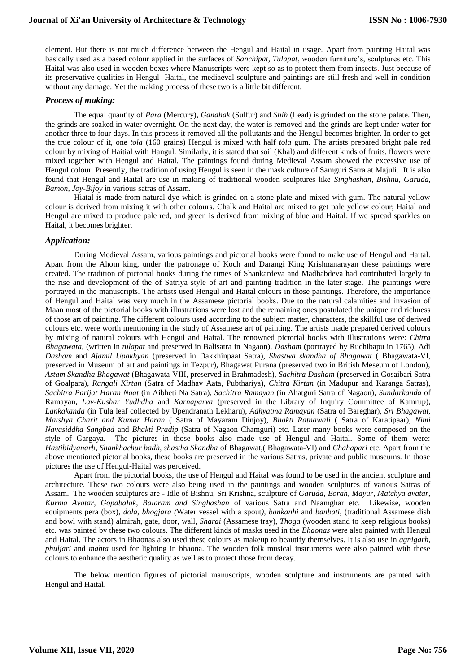element. But there is not much difference between the Hengul and Haital in usage. Apart from painting Haital was basically used as a based colour applied in the surfaces of *Sanchipat, Tulapat*, wooden furniture's, sculptures etc. This Haital was also used in wooden boxes where Manuscripts were kept so as to protect them from insects. Just because of its preservative qualities in Hengul- Haital, the mediaeval sculpture and paintings are still fresh and well in condition without any damage. Yet the making process of these two is a little bit different.

## *Process of making:*

The equal quantity of *Para* (Mercury), *Gandhak* (Sulfur) and *Shih* (Lead) is grinded on the stone palate. Then, the grinds are soaked in water overnight. On the next day, the water is removed and the grinds are kept under water for another three to four days. In this process it removed all the pollutants and the Hengul becomes brighter. In order to get the true colour of it, one *tola* (160 grains) Hengul is mixed with half *tola* gum. The artists prepared bright pale red colour by mixing of Haitial with Hangul. Similarly, it is stated that soil (Khal) and different kinds of fruits, flowers were mixed together with Hengul and Haital. The paintings found during Medieval Assam showed the excessive use of Hengul colour. Presently, the tradition of using Hengul is seen in the mask culture of Samguri Satra at Majuli. It is also found that Hengul and Haital are use in making of traditional wooden sculptures like *Singhashan*, *Bishnu, Garuda, Bamon, Joy-Bijoy* in various satras of Assam.

Hiatal is made from natural dye which is grinded on a stone plate and mixed with gum. The natural yellow colour is derived from mixing it with other colours. Chalk and Haital are mixed to get pale yellow colour; Haital and Hengul are mixed to produce pale red, and green is derived from mixing of blue and Haital. If we spread sparkles on Haital, it becomes brighter.

## *Application:*

During Medieval Assam, various paintings and pictorial books were found to make use of Hengul and Haital. Apart from the Ahom king, under the patronage of Koch and Darangi King Krishnanarayan these paintings were created. The tradition of pictorial books during the times of Shankardeva and Madhabdeva had contributed largely to the rise and development of the of Satriya style of art and painting tradition in the later stage. The paintings were portrayed in the manuscripts. The artists used Hengul and Haital colours in those paintings. Therefore, the importance of Hengul and Haital was very much in the Assamese pictorial books. Due to the natural calamities and invasion of Maan most of the pictorial books with illustrations were lost and the remaining ones postulated the unique and richness of those art of painting. The different colours used according to the subject matter, characters, the skillful use of derived colours etc. were worth mentioning in the study of Assamese art of painting. The artists made prepared derived colours by mixing of natural colours with Hengul and Haital. The renowned pictorial books with illustrations were: *Chitra Bhagawata*, (written in *tulapat* and preserved in Balisatra in Nagaon), *Dasham* (portrayed by Ruchibapu in 1765), Adi *Dasham* and *Ajamil Upakhyan* (preserved in Dakkhinpaat Satra), *Shastwa skandha of Bhagawat* ( Bhagawata-VI, preserved in Museum of art and paintings in Tezpur), Bhagawat Purana (preserved two in British Meseum of London), *Astam Skandha Bhagawat* (Bhagawata-VIII, preserved in Brahmadesh), *Sachitra Dasham* (preserved in Gosaibari Satra of Goalpara), *Rangali Kirtan* (Satra of Madhav Aata, Pubthariya), *Chitra Kirtan* (in Madupur and Karanga Satras), *Sachitra Parijat Haran Naat* (in Aibheti Na Satra), *Sachitra Ramayan* (in Ahatguri Satra of Nagaon), *Sundarkanda* of Ramayan, *Lav-Kushar Yudhdha* and *Karnaparva* (preserved in the Library of Inquiry Committee of Kamrup), *Lankakanda* (in Tula leaf collected by Upendranath Lekharu), *Adhyatma Ramayan* (Satra of Bareghar), *Sri Bhagawat, Matshya Charit and Kumar Haran* ( Satra of Mayaram Dinjoy), *Bhakti Ratnawali* ( Satra of Karatipaar), *Nimi Navasiddha Sangbad* and *Bhakti Pradip* (Satra of Nagaon Chamguri) etc. Later many books were composed on the style of Gargaya. The pictures in those books also made use of Hengul and Haital. Some of them were: *Hastibidyanarb, Shankhachur badh, shastha Skandha* of Bhagawat,( Bhagawata-VI) and *Chahapari* etc. Apart from the above mentioned pictorial books, these books are preserved in the various Satras, private and public museums. In those pictures the use of Hengul-Haital was perceived.

Apart from the pictorial books, the use of Hengul and Haital was found to be used in the ancient sculpture and architecture. These two colours were also being used in the paintings and wooden sculptures of various Satras of Assam. The wooden sculptures are - Idle of Bishnu, Sri Krishna, sculpture of *Garuda, Borah, Mayur, Matchya avatar, Kurma Avatar, Gopabalak, Balaram and Singhashan* of various Satra and Naamghar etc. Likewise, wooden equipments pera (box), *dola, bhogjara (*Water vessel with a spout*), bankanhi* and *banbati*, (traditional Assamese dish and bowl with stand) almirah, gate, door, wall, *Sharai* (Assamese tray), *Thoga* (wooden stand to keep religious books) etc. was painted by these two colours. The different kinds of masks used in the *Bhaonas* were also painted with Hengul and Haital. The actors in Bhaonas also used these colours as makeup to beautify themselves. It is also use in *agnigarh, phuljari* and *mahta* used for lighting in bhaona. The wooden folk musical instruments were also painted with these colours to enhance the aesthetic quality as well as to protect those from decay.

The below mention figures of pictorial manuscripts, wooden sculpture and instruments are painted with Hengul and Haital.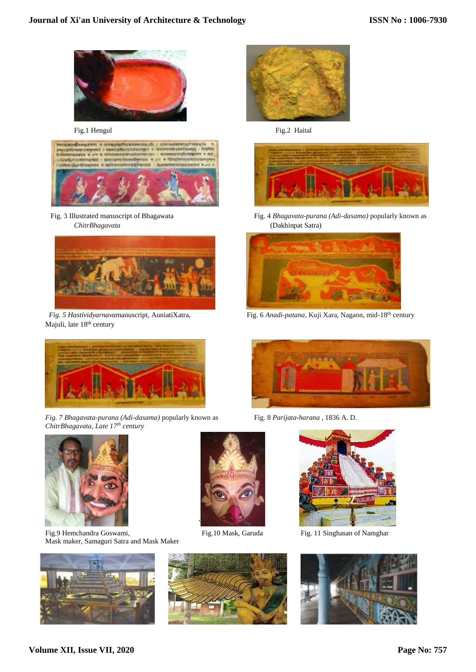

Fig.1 Hengul Fig.2 Haital





Majuli, late 18<sup>th</sup> century



*Fig. 7 Bhagavata-purana (Adi-dasama)* popularly known as Fig. 8 *Parijata-harana* , 1836 A. D. *ChitrBhagavata, Late 17th century*



Fig.9 Hemchandra Goswami, Fig.10 Mask, Garuda Fig. 11 Singhasan of Namghar Mask maker, Samaguri Satra and Mask Maker











Fig. 3 Illustrated manuscript of Bhagawata Fig. 4 *Bhagavata-purana (Adi-dasama)* popularly known as *ChitrBhagavata* (Dakhinpat Satra)



 *Fig. 5 Hastividyarnava*manuscript, AuniatiXatra, Fig. 6 *Anadi-patana*, Kuji Xara, Nagaon, mid-18th century